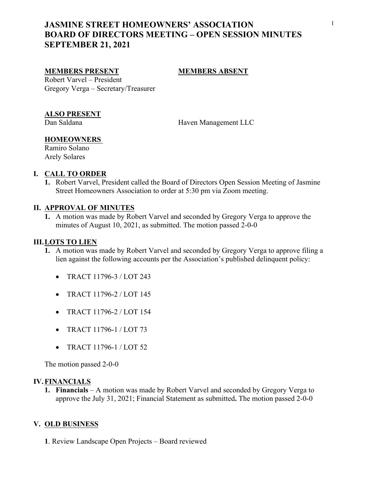# <sup>1</sup> **JASMINE STREET HOMEOWNERS' ASSOCIATION BOARD OF DIRECTORS MEETING – OPEN SESSION MINUTES SEPTEMBER 21, 2021**

#### **MEMBERS PRESENT MEMBERS ABSENT**

Robert Varvel – President Gregory Verga – Secretary/Treasurer

#### **ALSO PRESENT**

Dan Saldana Haven Management LLC

## **HOMEOWNERS**

Ramiro Solano Arely Solares

#### **I. CALL TO ORDER**

**1.** Robert Varvel, President called the Board of Directors Open Session Meeting of Jasmine Street Homeowners Association to order at 5:30 pm via Zoom meeting.

#### **II. APPROVAL OF MINUTES**

**1.** A motion was made by Robert Varvel and seconded by Gregory Verga to approve the minutes of August 10, 2021, as submitted. The motion passed 2-0-0

### **III.LOTS TO LIEN**

- **1.** A motion was made by Robert Varvel and seconded by Gregory Verga to approve filing a lien against the following accounts per the Association's published delinquent policy:
	- TRACT 11796-3 / LOT 243
	- TRACT 11796-2 / LOT 145
	- TRACT 11796-2 / LOT 154
	- TRACT 11796-1 / LOT 73
	- TRACT 11796-1 / LOT 52

The motion passed 2-0-0

#### **IV.FINANCIALS**

**1. Financials** – A motion was made by Robert Varvel and seconded by Gregory Verga to approve the July 31, 2021; Financial Statement as submitted**.** The motion passed 2-0-0 **V. OLD BUSINESS**

**1**. Review Landscape Open Projects – Board reviewed